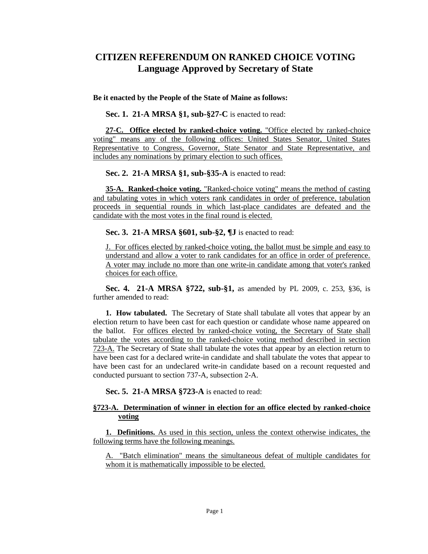## **CITIZEN REFERENDUM ON RANKED CHOICE VOTING Language Approved by Secretary of State**

## **Be it enacted by the People of the State of Maine as follows:**

**Sec. 1. 21-A MRSA §1, sub-§27-C** is enacted to read:

**27-C. Office elected by ranked-choice voting.** "Office elected by ranked-choice voting" means any of the following offices: United States Senator, United States Representative to Congress, Governor, State Senator and State Representative, and includes any nominations by primary election to such offices.

**Sec. 2. 21-A MRSA §1, sub-§35-A** is enacted to read:

**35-A. Ranked-choice voting.** "Ranked-choice voting" means the method of casting and tabulating votes in which voters rank candidates in order of preference, tabulation proceeds in sequential rounds in which last-place candidates are defeated and the candidate with the most votes in the final round is elected.

**Sec. 3. 21-A MRSA §601, sub-§2, ¶J** is enacted to read:

J. For offices elected by ranked-choice voting, the ballot must be simple and easy to understand and allow a voter to rank candidates for an office in order of preference. A voter may include no more than one write-in candidate among that voter's ranked choices for each office.

**Sec. 4. 21-A MRSA §722, sub-§1,** as amended by PL 2009, c. 253, §36, is further amended to read:

**1. How tabulated.** The Secretary of State shall tabulate all votes that appear by an election return to have been cast for each question or candidate whose name appeared on the ballot. For offices elected by ranked-choice voting, the Secretary of State shall tabulate the votes according to the ranked-choice voting method described in section 723-A. The Secretary of State shall tabulate the votes that appear by an election return to have been cast for a declared write-in candidate and shall tabulate the votes that appear to have been cast for an undeclared write-in candidate based on a recount requested and conducted pursuant to section 737-A, subsection 2-A.

**Sec. 5. 21-A MRSA §723-A** is enacted to read:

## **§723-A. Determination of winner in election for an office elected by ranked-choice voting**

**1. Definitions.** As used in this section, unless the context otherwise indicates, the following terms have the following meanings.

A. "Batch elimination" means the simultaneous defeat of multiple candidates for whom it is mathematically impossible to be elected.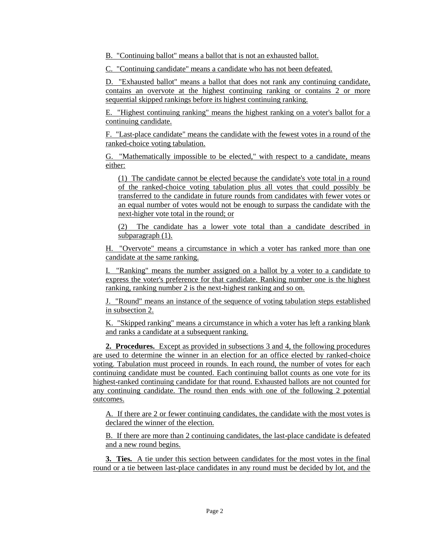B. "Continuing ballot" means a ballot that is not an exhausted ballot.

C. "Continuing candidate" means a candidate who has not been defeated.

D. "Exhausted ballot" means a ballot that does not rank any continuing candidate, contains an overvote at the highest continuing ranking or contains 2 or more sequential skipped rankings before its highest continuing ranking.

E. "Highest continuing ranking" means the highest ranking on a voter's ballot for a continuing candidate.

F. "Last-place candidate" means the candidate with the fewest votes in a round of the ranked-choice voting tabulation.

G. "Mathematically impossible to be elected," with respect to a candidate, means either:

(1) The candidate cannot be elected because the candidate's vote total in a round of the ranked-choice voting tabulation plus all votes that could possibly be transferred to the candidate in future rounds from candidates with fewer votes or an equal number of votes would not be enough to surpass the candidate with the next-higher vote total in the round; or

(2) The candidate has a lower vote total than a candidate described in subparagraph (1).

H. "Overvote" means a circumstance in which a voter has ranked more than one candidate at the same ranking.

I. "Ranking" means the number assigned on a ballot by a voter to a candidate to express the voter's preference for that candidate. Ranking number one is the highest ranking, ranking number 2 is the next-highest ranking and so on.

J. "Round" means an instance of the sequence of voting tabulation steps established in subsection 2.

K. "Skipped ranking" means a circumstance in which a voter has left a ranking blank and ranks a candidate at a subsequent ranking.

**2. Procedures.** Except as provided in subsections 3 and 4, the following procedures are used to determine the winner in an election for an office elected by ranked-choice voting. Tabulation must proceed in rounds. In each round, the number of votes for each continuing candidate must be counted. Each continuing ballot counts as one vote for its highest-ranked continuing candidate for that round. Exhausted ballots are not counted for any continuing candidate. The round then ends with one of the following 2 potential outcomes.

A. If there are 2 or fewer continuing candidates, the candidate with the most votes is declared the winner of the election.

B. If there are more than 2 continuing candidates, the last-place candidate is defeated and a new round begins.

**3. Ties.** A tie under this section between candidates for the most votes in the final round or a tie between last-place candidates in any round must be decided by lot, and the